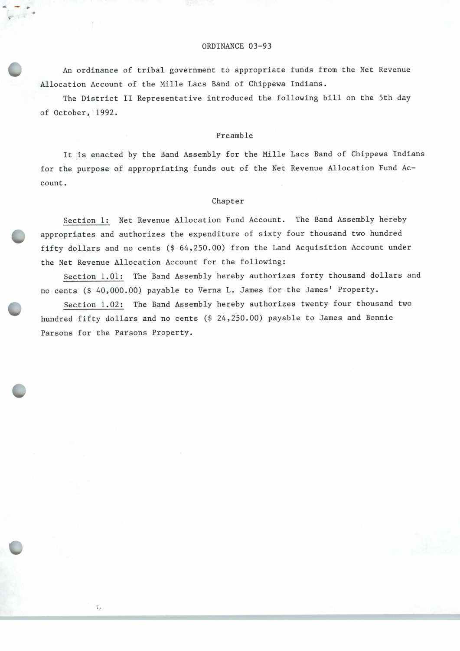## ORDINANCE 03-93

An ordinance of tribal government to appropriate funds from the Net Revenue Allocation Account of the Mille Lacs Band of Chippewa Indians.

 $\overline{\phantom{a}}$ 

101r

 $\iota$ 

The District II Representative introduced the following bill on the 5th day of October, 1992.

## Preamble

It is enacted by the Band Assembly for the Mille Lacs Band of Chippewa Indians for the purpose of appropriating funds out of the Net Revenue Allocation Fund Account.

## Chapter

Section 1: Net Revenue Allocation Fund Account. The Band Assembly hereby appropriates and authorizes the expenditure of sixty four thousand two hundred fifty dollars and no cents (\$ 64, 250. 00) from the Land Acquisition Account under the Net Revenue Allocation Account for the following:

Section 1.01: The Band Assembly hereby authorizes forty thousand dollars and no cents (\$ 40, 000. 00) payable to Verna L. James for the James' Property.

Section 1. 02: The Band Assembly hereby authorizes twenty four thousand two hundred fifty dollars and no cents (\$ 24, 250. 00) payable to James and Bonnie Parsons for the Parsons Property.